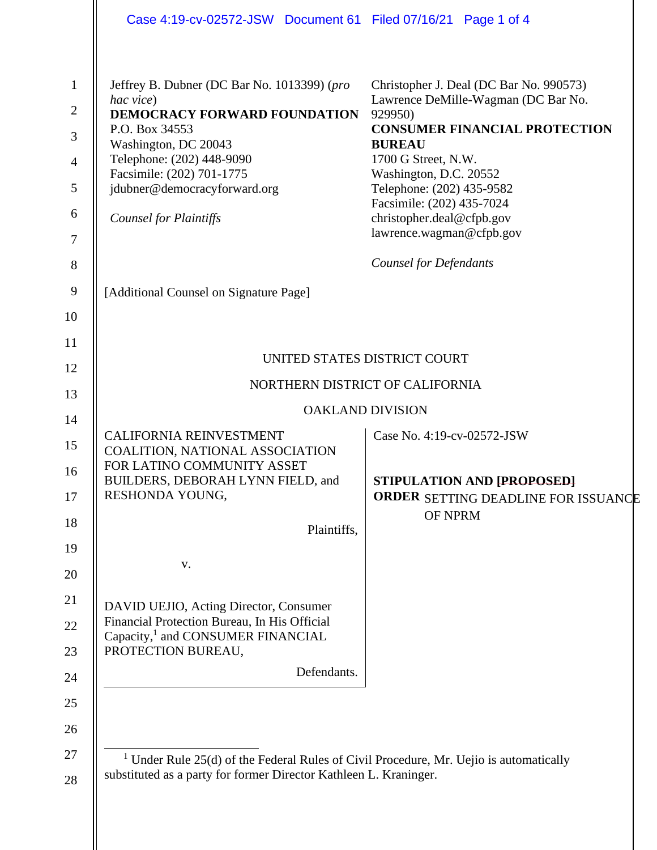|                                                                           | Case 4:19-cv-02572-JSW Document 61 Filed 07/16/21 Page 1 of 4                                                                                                                                                                                                 |                                                                                                                                                                                                                                                                                                                        |  |
|---------------------------------------------------------------------------|---------------------------------------------------------------------------------------------------------------------------------------------------------------------------------------------------------------------------------------------------------------|------------------------------------------------------------------------------------------------------------------------------------------------------------------------------------------------------------------------------------------------------------------------------------------------------------------------|--|
| $\mathbf{1}$<br>$\overline{2}$<br>3<br>$\overline{4}$<br>5<br>6<br>$\tau$ | Jeffrey B. Dubner (DC Bar No. 1013399) (pro<br>hac vice)<br>DEMOCRACY FORWARD FOUNDATION<br>P.O. Box 34553<br>Washington, DC 20043<br>Telephone: (202) 448-9090<br>Facsimile: (202) 701-1775<br>jdubner@democracyforward.org<br><b>Counsel for Plaintiffs</b> | Christopher J. Deal (DC Bar No. 990573)<br>Lawrence DeMille-Wagman (DC Bar No.<br>929950)<br><b>CONSUMER FINANCIAL PROTECTION</b><br><b>BUREAU</b><br>1700 G Street, N.W.<br>Washington, D.C. 20552<br>Telephone: (202) 435-9582<br>Facsimile: (202) 435-7024<br>christopher.deal@cfpb.gov<br>lawrence.wagman@cfpb.gov |  |
| 8                                                                         |                                                                                                                                                                                                                                                               | <b>Counsel for Defendants</b>                                                                                                                                                                                                                                                                                          |  |
| $\overline{9}$                                                            | [Additional Counsel on Signature Page]                                                                                                                                                                                                                        |                                                                                                                                                                                                                                                                                                                        |  |
| 10                                                                        |                                                                                                                                                                                                                                                               |                                                                                                                                                                                                                                                                                                                        |  |
| 11                                                                        |                                                                                                                                                                                                                                                               |                                                                                                                                                                                                                                                                                                                        |  |
| 12                                                                        | UNITED STATES DISTRICT COURT                                                                                                                                                                                                                                  |                                                                                                                                                                                                                                                                                                                        |  |
| 13                                                                        | NORTHERN DISTRICT OF CALIFORNIA<br><b>OAKLAND DIVISION</b>                                                                                                                                                                                                    |                                                                                                                                                                                                                                                                                                                        |  |
| 14                                                                        | <b>CALIFORNIA REINVESTMENT</b>                                                                                                                                                                                                                                | Case No. 4:19-cv-02572-JSW                                                                                                                                                                                                                                                                                             |  |
| 15<br>16                                                                  | COALITION, NATIONAL ASSOCIATION<br>FOR LATINO COMMUNITY ASSET                                                                                                                                                                                                 |                                                                                                                                                                                                                                                                                                                        |  |
| 17                                                                        | BUILDERS, DEBORAH LYNN FIELD, and<br>RESHONDA YOUNG,                                                                                                                                                                                                          | STIPULATION AND [PROPOSED]<br>ORDER SETTING DEADLINE FOR ISSUANCE                                                                                                                                                                                                                                                      |  |
| 18                                                                        | Plaintiffs,                                                                                                                                                                                                                                                   | OF NPRM                                                                                                                                                                                                                                                                                                                |  |
| 19                                                                        |                                                                                                                                                                                                                                                               |                                                                                                                                                                                                                                                                                                                        |  |
| 20                                                                        | V.                                                                                                                                                                                                                                                            |                                                                                                                                                                                                                                                                                                                        |  |
| 21                                                                        | DAVID UEJIO, Acting Director, Consumer                                                                                                                                                                                                                        |                                                                                                                                                                                                                                                                                                                        |  |
| 22                                                                        | Financial Protection Bureau, In His Official<br>Capacity, <sup>1</sup> and CONSUMER FINANCIAL                                                                                                                                                                 |                                                                                                                                                                                                                                                                                                                        |  |
| 23                                                                        | PROTECTION BUREAU,                                                                                                                                                                                                                                            |                                                                                                                                                                                                                                                                                                                        |  |
| 24                                                                        | Defendants.                                                                                                                                                                                                                                                   |                                                                                                                                                                                                                                                                                                                        |  |
| 25                                                                        |                                                                                                                                                                                                                                                               |                                                                                                                                                                                                                                                                                                                        |  |
| 26                                                                        |                                                                                                                                                                                                                                                               |                                                                                                                                                                                                                                                                                                                        |  |
| 27<br>28                                                                  | <sup>1</sup> Under Rule $25(d)$ of the Federal Rules of Civil Procedure, Mr. Uejio is automatically<br>substituted as a party for former Director Kathleen L. Kraninger.                                                                                      |                                                                                                                                                                                                                                                                                                                        |  |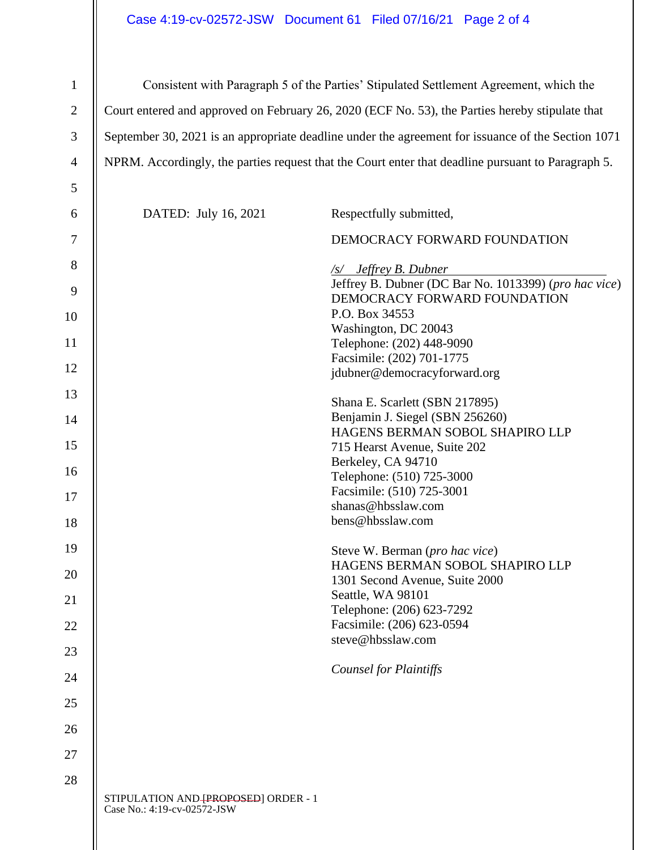## Case 4:19-cv-02572-JSW Document 61 Filed 07/16/21 Page 2 of 4

| $\mathbf{1}$   | Consistent with Paragraph 5 of the Parties' Stipulated Settlement Agreement, which the             |                                                                                       |  |
|----------------|----------------------------------------------------------------------------------------------------|---------------------------------------------------------------------------------------|--|
| $\overline{2}$ | Court entered and approved on February 26, 2020 (ECF No. 53), the Parties hereby stipulate that    |                                                                                       |  |
| 3              | September 30, 2021 is an appropriate deadline under the agreement for issuance of the Section 1071 |                                                                                       |  |
| $\overline{4}$ | NPRM. Accordingly, the parties request that the Court enter that deadline pursuant to Paragraph 5. |                                                                                       |  |
| 5              |                                                                                                    |                                                                                       |  |
|                |                                                                                                    |                                                                                       |  |
| 6              | DATED: July 16, 2021                                                                               | Respectfully submitted,                                                               |  |
| 7              |                                                                                                    | DEMOCRACY FORWARD FOUNDATION                                                          |  |
| 8              |                                                                                                    | /s/ Jeffrey B. Dubner                                                                 |  |
| 9              |                                                                                                    | Jeffrey B. Dubner (DC Bar No. 1013399) (pro hac vice)<br>DEMOCRACY FORWARD FOUNDATION |  |
| 10             |                                                                                                    | P.O. Box 34553                                                                        |  |
|                |                                                                                                    | Washington, DC 20043                                                                  |  |
| 11             |                                                                                                    | Telephone: (202) 448-9090<br>Facsimile: (202) 701-1775                                |  |
| 12             |                                                                                                    | jdubner@democracyforward.org                                                          |  |
| 13             |                                                                                                    |                                                                                       |  |
|                |                                                                                                    | Shana E. Scarlett (SBN 217895)                                                        |  |
| 14             |                                                                                                    | Benjamin J. Siegel (SBN 256260)                                                       |  |
| 15             |                                                                                                    | HAGENS BERMAN SOBOL SHAPIRO LLP                                                       |  |
|                |                                                                                                    | 715 Hearst Avenue, Suite 202<br>Berkeley, CA 94710                                    |  |
| 16             |                                                                                                    | Telephone: (510) 725-3000                                                             |  |
|                |                                                                                                    | Facsimile: (510) 725-3001                                                             |  |
| 17             |                                                                                                    | shanas@hbsslaw.com                                                                    |  |
| 18             |                                                                                                    | bens@hbsslaw.com                                                                      |  |
| 19             |                                                                                                    | Steve W. Berman (pro hac vice)                                                        |  |
| 20             |                                                                                                    | HAGENS BERMAN SOBOL SHAPIRO LLP                                                       |  |
|                |                                                                                                    | 1301 Second Avenue, Suite 2000                                                        |  |
| 21             |                                                                                                    | Seattle, WA 98101                                                                     |  |
| 22             |                                                                                                    | Telephone: (206) 623-7292<br>Facsimile: (206) 623-0594                                |  |
|                |                                                                                                    | steve@hbsslaw.com                                                                     |  |
| 23             |                                                                                                    |                                                                                       |  |
| 24             |                                                                                                    | <b>Counsel for Plaintiffs</b>                                                         |  |
| 25             |                                                                                                    |                                                                                       |  |
| 26             |                                                                                                    |                                                                                       |  |
| 27             |                                                                                                    |                                                                                       |  |
| 28             |                                                                                                    |                                                                                       |  |
|                | STIPULATION AND [PROPOSED] ORDER - 1<br>Case No.: 4:19-cv-02572-JSW                                |                                                                                       |  |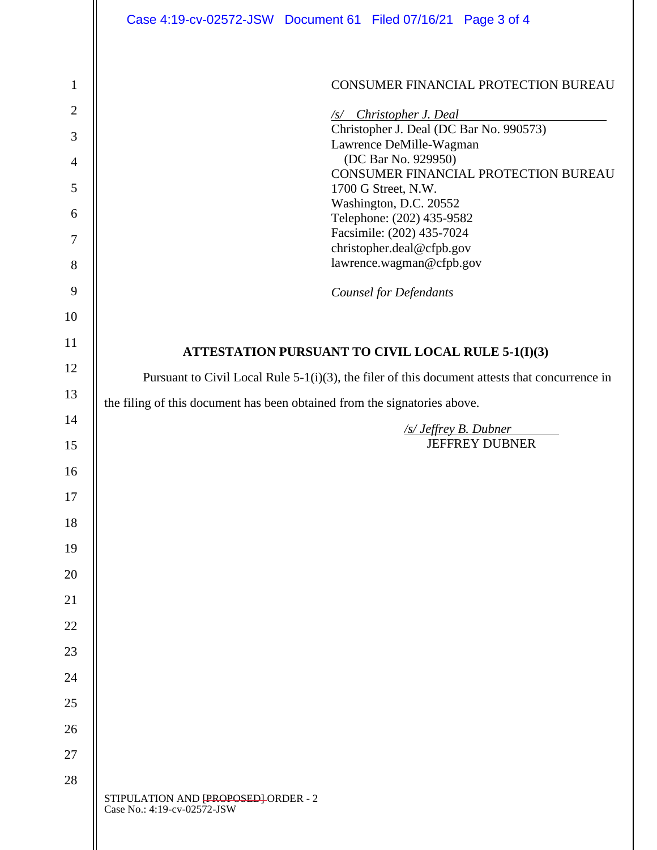|                | Case 4:19-cv-02572-JSW Document 61 Filed 07/16/21 Page 3 of 4                                     |  |  |  |
|----------------|---------------------------------------------------------------------------------------------------|--|--|--|
| 1              | CONSUMER FINANCIAL PROTECTION BUREAU                                                              |  |  |  |
| $\overline{2}$ |                                                                                                   |  |  |  |
| 3              | $\sqrt{s}$ Christopher J. Deal<br>Christopher J. Deal (DC Bar No. 990573)                         |  |  |  |
| $\overline{4}$ | Lawrence DeMille-Wagman<br>(DC Bar No. 929950)                                                    |  |  |  |
| 5              | CONSUMER FINANCIAL PROTECTION BUREAU                                                              |  |  |  |
| 6              | 1700 G Street, N.W.<br>Washington, D.C. 20552                                                     |  |  |  |
|                | Telephone: (202) 435-9582<br>Facsimile: (202) 435-7024                                            |  |  |  |
| 7              | christopher.deal@cfpb.gov<br>lawrence.wagman@cfpb.gov                                             |  |  |  |
| 8              |                                                                                                   |  |  |  |
| 9              | <b>Counsel for Defendants</b>                                                                     |  |  |  |
| 10             |                                                                                                   |  |  |  |
| 11             | ATTESTATION PURSUANT TO CIVIL LOCAL RULE 5-1(I)(3)                                                |  |  |  |
| 12             | Pursuant to Civil Local Rule $5-1(i)(3)$ , the filer of this document attests that concurrence in |  |  |  |
| 13             | the filing of this document has been obtained from the signatories above.                         |  |  |  |
| 14             | /s/ Jeffrey B. Dubner<br><b>JEFFREY DUBNER</b>                                                    |  |  |  |
| 15             |                                                                                                   |  |  |  |
| 16             |                                                                                                   |  |  |  |
| 17             |                                                                                                   |  |  |  |
| 18             |                                                                                                   |  |  |  |
| 19             |                                                                                                   |  |  |  |
| 20             |                                                                                                   |  |  |  |
| 21             |                                                                                                   |  |  |  |
| 22             |                                                                                                   |  |  |  |
| 23             |                                                                                                   |  |  |  |
| 24             |                                                                                                   |  |  |  |
| 25             |                                                                                                   |  |  |  |
| 26             |                                                                                                   |  |  |  |
| 27             |                                                                                                   |  |  |  |
| 28             |                                                                                                   |  |  |  |
|                | STIPULATION AND [PROPOSED]-ORDER - 2<br>Case No.: 4:19-cv-02572-JSW                               |  |  |  |